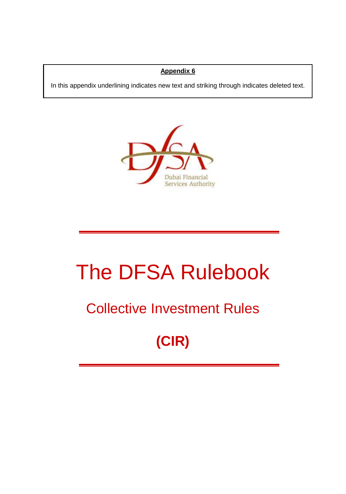#### **Appendix 6**

In this appendix underlining indicates new text and striking through indicates deleted text.



# The DFSA Rulebook

### Collective Investment Rules

## **(CIR)**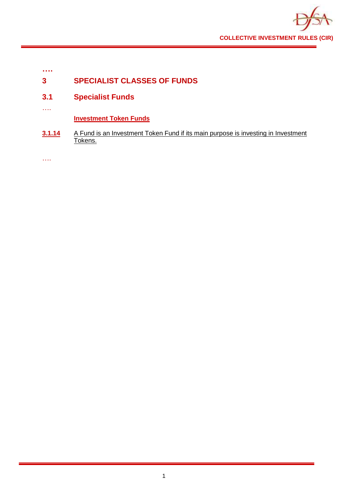

| 3 | <b>SPECIALIST CLASSES OF FUNDS</b> |
|---|------------------------------------|
|   |                                    |

- **3.1 Specialist Funds**
- ….

**….**

**Investment Token Funds**

**3.1.14** A Fund is an Investment Token Fund if its main purpose is investing in Investment Tokens.

….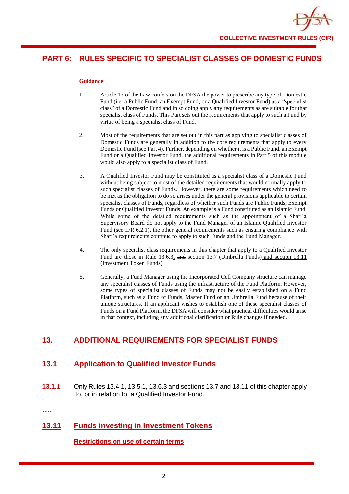

#### **PART 6: RULES SPECIFIC TO SPECIALIST CLASSES OF DOMESTIC FUNDS**

#### **Guidance**

- 1. Article 17 of the Law confers on the DFSA the power to prescribe any type of Domestic Fund (i.e. a Public Fund, an Exempt Fund, or a Qualified Investor Fund) as a "specialist class" of a Domestic Fund and in so doing apply any requirements as are suitable for that specialist class of Funds. This Part sets out the requirements that apply to such a Fund by virtue of being a specialist class of Fund.
- 2. Most of the requirements that are set out in this part as applying to specialist classes of Domestic Funds are generally in addition to the core requirements that apply to every Domestic Fund (see Part 4). Further, depending on whether it is a Public Fund, an Exempt Fund or a Qualified Investor Fund, the additional requirements in Part 5 of this module would also apply to a specialist class of Fund.
- 3. A Qualified Investor Fund may be constituted as a specialist class of a Domestic Fund without being subject to most of the detailed requirements that would normally apply to such specialist classes of Funds. However, there are some requirements which need to be met as the obligation to do so arises under the general provisions applicable to certain specialist classes of Funds, regardless of whether such Funds are Public Funds, Exempt Funds or Qualified Investor Funds. An example is a Fund constituted as an Islamic Fund. While some of the detailed requirements such as the appointment of a Shari'a Supervisory Board do not apply to the Fund Manager of an Islamic Qualified Investor Fund (see IFR 6.2.1), the other general requirements such as ensuring compliance with Shari'a requirements continue to apply to such Funds and the Fund Manager.
- 4. The only specialist class requirements in this chapter that apply to a Qualified Investor Fund are those in Rule 13.6.3, and section 13.7 (Umbrella Funds) and section 13.11 (Investment Token Funds).
- 5. Generally, a Fund Manager using the Incorporated Cell Company structure can manage any specialist classes of Funds using the infrastructure of the Fund Platform. However, some types of specialist classes of Funds may not be easily established on a Fund Platform, such as a Fund of Funds, Master Fund or an Umbrella Fund because of their unique structures. If an applicant wishes to establish one of these specialist classes of Funds on a Fund Platform, the DFSA will consider what practical difficulties would arise in that context, including any additional clarification or Rule changes if needed.

#### **13. ADDITIONAL REQUIREMENTS FOR SPECIALIST FUNDS**

#### **13.1 Application to Qualified Investor Funds**

**13.1.1** Only Rules 13.4.1, 13.5.1, 13.6.3 and sections 13.7 and 13.11 of this chapter apply to, or in relation to, a Qualified Investor Fund.

**….**

#### **13.11 Funds investing in Investment Tokens**

**Restrictions on use of certain terms**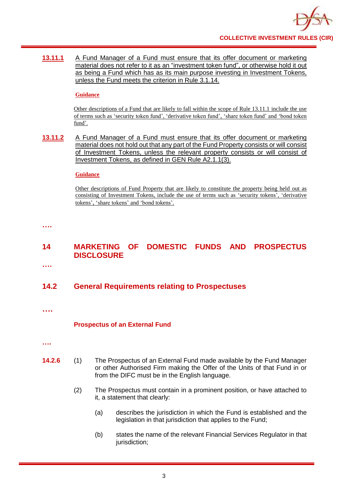

13.11.1 A Fund Manager of a Fund must ensure that its offer document or marketing material does not refer to it as an "investment token fund", or otherwise hold it out as being a Fund which has as its main purpose investing in Investment Tokens, unless the Fund meets the criterion in Rule 3.1.14.

#### **Guidance**

Other descriptions of a Fund that are likely to fall within the scope of Rule 13.11.1 include the use of terms such as 'security token fund', 'derivative token fund', 'share token fund' and 'bond token fund'.

**13.11.2** A Fund Manager of a Fund must ensure that its offer document or marketing material does not hold out that any part of the Fund Property consists or will consist of Investment Tokens, unless the relevant property consists or will consist of Investment Tokens, as defined in GEN Rule A2.1.1(3).

#### **Guidance**

Other descriptions of Fund Property that are likely to constitute the property being held out as consisting of Investment Tokens, include the use of terms such as 'security tokens', 'derivative tokens', 'share tokens' and 'bond tokens'.

**….**

#### **14 MARKETING OF DOMESTIC FUNDS AND PROSPECTUS DISCLOSURE**

**….**

#### **14.2 General Requirements relating to Prospectuses**

**….**

#### **Prospectus of an External Fund**

- **….**
- **14.2.6** (1) The Prospectus of an External Fund made available by the Fund Manager or other Authorised Firm making the Offer of the Units of that Fund in or from the DIFC must be in the English language.
	- (2) The Prospectus must contain in a prominent position, or have attached to it, a statement that clearly:
		- (a) describes the jurisdiction in which the Fund is established and the legislation in that jurisdiction that applies to the Fund;
		- (b) states the name of the relevant Financial Services Regulator in that jurisdiction;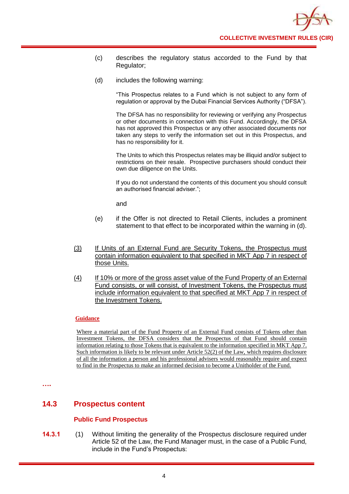

- (c) describes the regulatory status accorded to the Fund by that Regulator;
- (d) includes the following warning:

"This Prospectus relates to a Fund which is not subject to any form of regulation or approval by the Dubai Financial Services Authority ("DFSA").

The DFSA has no responsibility for reviewing or verifying any Prospectus or other documents in connection with this Fund. Accordingly, the DFSA has not approved this Prospectus or any other associated documents nor taken any steps to verify the information set out in this Prospectus, and has no responsibility for it.

The Units to which this Prospectus relates may be illiquid and/or subject to restrictions on their resale. Prospective purchasers should conduct their own due diligence on the Units.

If you do not understand the contents of this document you should consult an authorised financial adviser.";

and

- (e) if the Offer is not directed to Retail Clients, includes a prominent statement to that effect to be incorporated within the warning in (d).
- (3) If Units of an External Fund are Security Tokens, the Prospectus must contain information equivalent to that specified in MKT App 7 in respect of those Units.
- (4) If 10% or more of the gross asset value of the Fund Property of an External Fund consists, or will consist, of Investment Tokens, the Prospectus must include information equivalent to that specified at MKT App 7 in respect of the Investment Tokens.

#### **Guidance**

Where a material part of the Fund Property of an External Fund consists of Tokens other than Investment Tokens, the DFSA considers that the Prospectus of that Fund should contain information relating to those Tokens that is equivalent to the information specified in MKT App 7. Such information is likely to be relevant under Article 52(2) of the Law, which requires disclosure of all the information a person and his professional advisers would reasonably require and expect to find in the Prospectus to make an informed decision to become a Unitholder of the Fund.

**….**

#### **14.3 Prospectus content**

#### **Public Fund Prospectus**

**14.3.1** (1) Without limiting the generality of the Prospectus disclosure required under Article 52 of the Law, the Fund Manager must, in the case of a Public Fund, include in the Fund's Prospectus: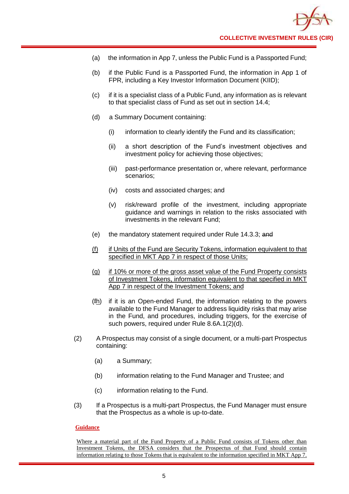

- (a) the information in App 7, unless the Public Fund is a Passported Fund;
- (b) if the Public Fund is a Passported Fund, the information in App 1 of FPR, including a Key Investor Information Document (KIID);
- (c) if it is a specialist class of a Public Fund, any information as is relevant to that specialist class of Fund as set out in section 14.4;
- (d) a Summary Document containing:
	- (i) information to clearly identify the Fund and its classification;
	- (ii) a short description of the Fund's investment objectives and investment policy for achieving those objectives;
	- (iii) past-performance presentation or, where relevant, performance scenarios;
	- (iv) costs and associated charges; and
	- (v) risk/reward profile of the investment, including appropriate guidance and warnings in relation to the risks associated with investments in the relevant Fund;
- (e) the mandatory statement required under Rule 14.3.3; and
- (f) if Units of the Fund are Security Tokens, information equivalent to that specified in MKT App 7 in respect of those Units;
- (g) if 10% or more of the gross asset value of the Fund Property consists of Investment Tokens, information equivalent to that specified in MKT App 7 in respect of the Investment Tokens; and
- (fh) if it is an Open-ended Fund, the information relating to the powers available to the Fund Manager to address liquidity risks that may arise in the Fund, and procedures, including triggers, for the exercise of such powers, required under Rule 8.6A.1(2)(d).
- (2) A Prospectus may consist of a single document, or a multi-part Prospectus containing:
	- (a) a Summary;
	- (b) information relating to the Fund Manager and Trustee; and
	- (c) information relating to the Fund.
- (3) If a Prospectus is a multi-part Prospectus, the Fund Manager must ensure that the Prospectus as a whole is up-to-date.

#### **Guidance**

Where a material part of the Fund Property of a Public Fund consists of Tokens other than Investment Tokens, the DFSA considers that the Prospectus of that Fund should contain information relating to those Tokens that is equivalent to the information specified in MKT App 7.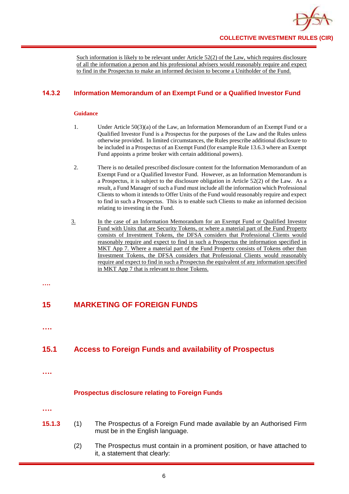

Such information is likely to be relevant under Article 52(2) of the Law, which requires disclosure of all the information a person and his professional advisers would reasonably require and expect to find in the Prospectus to make an informed decision to become a Unitholder of the Fund.

#### **14.3.2 Information Memorandum of an Exempt Fund or a Qualified Investor Fund**

#### **Guidance**

- 1. Under Article 50(3)(a) of the Law, an Information Memorandum of an Exempt Fund or a Qualified Investor Fund is a Prospectus for the purposes of the Law and the Rules unless otherwise provided. In limited circumstances, the Rules prescribe additional disclosure to be included in a Prospectus of an Exempt Fund (for example Rule 13.6.3 where an Exempt Fund appoints a prime broker with certain additional powers).
- 2. There is no detailed prescribed disclosure content for the Information Memorandum of an Exempt Fund or a Qualified Investor Fund. However, as an Information Memorandum is a Prospectus, it is subject to the disclosure obligation in Article 52(2) of the Law. As a result, a Fund Manager of such a Fund must include all the information which Professional Clients to whom it intends to Offer Units of the Fund would reasonably require and expect to find in such a Prospectus. This is to enable such Clients to make an informed decision relating to investing in the Fund.
- 3. In the case of an Information Memorandum for an Exempt Fund or Qualified Investor Fund with Units that are Security Tokens, or where a material part of the Fund Property consists of Investment Tokens, the DFSA considers that Professional Clients would reasonably require and expect to find in such a Prospectus the information specified in MKT App 7. Where a material part of the Fund Property consists of Tokens other than Investment Tokens, the DFSA considers that Professional Clients would reasonably require and expect to find in such a Prospectus the equivalent of any information specified in MKT App 7 that is relevant to those Tokens.
- **….**

#### **15 MARKETING OF FOREIGN FUNDS**

**….**

#### **15.1 Access to Foreign Funds and availability of Prospectus**

**….**

#### **Prospectus disclosure relating to Foreign Funds**

**….**

- **15.1.3** (1) The Prospectus of a Foreign Fund made available by an Authorised Firm must be in the English language.
	- (2) The Prospectus must contain in a prominent position, or have attached to it, a statement that clearly: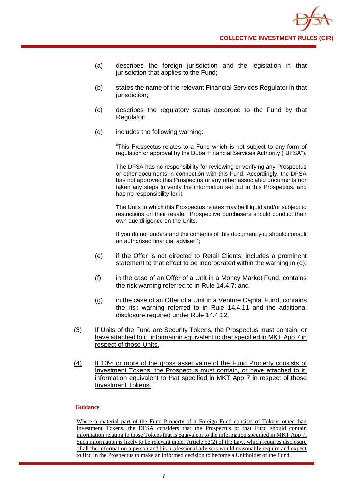- (a) describes the foreign jurisdiction and the legislation in that jurisdiction that applies to the Fund;
- (b) states the name of the relevant Financial Services Regulator in that jurisdiction;
- (c) describes the regulatory status accorded to the Fund by that Regulator;
- (d) includes the following warning:

"This Prospectus relates to a Fund which is not subject to any form of regulation or approval by the Dubai Financial Services Authority ("DFSA").

The DFSA has no responsibility for reviewing or verifying any Prospectus or other documents in connection with this Fund. Accordingly, the DFSA has not approved this Prospectus or any other associated documents nor taken any steps to verify the information set out in this Prospectus, and has no responsibility for it.

The Units to which this Prospectus relates may be illiquid and/or subject to restrictions on their resale. Prospective purchasers should conduct their own due diligence on the Units.

If you do not understand the contents of this document you should consult an authorised financial adviser.";

- (e) if the Offer is not directed to Retail Clients, includes a prominent statement to that effect to be incorporated within the warning in (d);
- (f) in the case of an Offer of a Unit in a Money Market Fund, contains the risk warning referred to in Rule 14.4.7; and
- (g) in the case of an Offer of a Unit in a Venture Capital Fund, contains the risk warning referred to in Rule 14.4.11 and the additional disclosure required under Rule 14.4.12.
- (3) If Units of the Fund are Security Tokens, the Prospectus must contain, or have attached to it, information equivalent to that specified in MKT App 7 in respect of those Units.
- (4) If 10% or more of the gross asset value of the Fund Property consists of Investment Tokens, the Prospectus must contain, or have attached to it, information equivalent to that specified in MKT App 7 in respect of those Investment Tokens.

#### **Guidance**

Where a material part of the Fund Property of a Foreign Fund consists of Tokens other than Investment Tokens, the DFSA considers that the Prospectus of that Fund should contain information relating to those Tokens that is equivalent to the information specified in MKT App 7. Such information is likely to be relevant under Article 52(2) of the Law, which requires disclosure of all the information a person and his professional advisers would reasonably require and expect to find in the Prospectus to make an informed decision to become a Unitholder of the Fund.